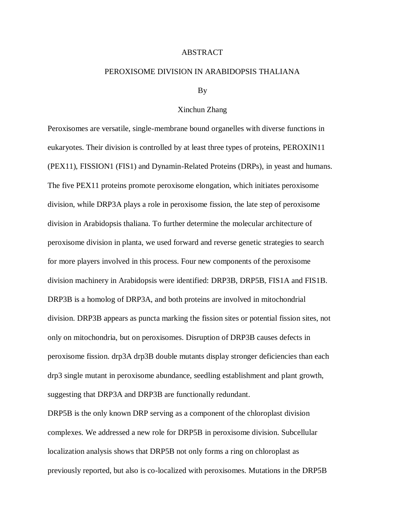## ABSTRACT

## PEROXISOME DIVISION IN ARABIDOPSIS THALIANA

## By

## Xinchun Zhang

Peroxisomes are versatile, single-membrane bound organelles with diverse functions in eukaryotes. Their division is controlled by at least three types of proteins, PEROXIN11 (PEX11), FISSION1 (FIS1) and Dynamin-Related Proteins (DRPs), in yeast and humans. The five PEX11 proteins promote peroxisome elongation, which initiates peroxisome division, while DRP3A plays a role in peroxisome fission, the late step of peroxisome division in Arabidopsis thaliana. To further determine the molecular architecture of peroxisome division in planta, we used forward and reverse genetic strategies to search for more players involved in this process. Four new components of the peroxisome division machinery in Arabidopsis were identified: DRP3B, DRP5B, FIS1A and FIS1B. DRP3B is a homolog of DRP3A, and both proteins are involved in mitochondrial division. DRP3B appears as puncta marking the fission sites or potential fission sites, not only on mitochondria, but on peroxisomes. Disruption of DRP3B causes defects in peroxisome fission. drp3A drp3B double mutants display stronger deficiencies than each drp3 single mutant in peroxisome abundance, seedling establishment and plant growth, suggesting that DRP3A and DRP3B are functionally redundant.

DRP5B is the only known DRP serving as a component of the chloroplast division complexes. We addressed a new role for DRP5B in peroxisome division. Subcellular localization analysis shows that DRP5B not only forms a ring on chloroplast as previously reported, but also is co-localized with peroxisomes. Mutations in the DRP5B